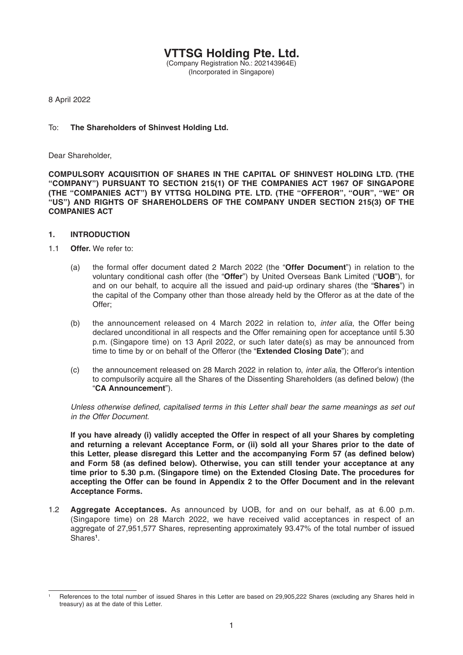**VTTSG Holding Pte. Ltd.** (Company Registration No.: 202143964E) (Incorporated in Singapore)

8 April 2022

## To: **The Shareholders of Shinvest Holding Ltd.**

Dear Shareholder,

**COMPULSORY ACQUISITION OF SHARES IN THE CAPITAL OF SHINVEST HOLDING LTD. (THE "COMPANY") PURSUANT TO SECTION 215(1) OF THE COMPANIES ACT 1967 OF SINGAPORE (THE "COMPANIES ACT") BY VTTSG HOLDING PTE. LTD. (THE "OFFEROR", "OUR", "WE" OR "US") AND RIGHTS OF SHAREHOLDERS OF THE COMPANY UNDER SECTION 215(3) OF THE COMPANIES ACT** 

### **1. INTRODUCTION**

- 1.1 **Offer.** We refer to:
	- (a) the formal offer document dated 2 March 2022 (the "**Offer Document**") in relation to the voluntary conditional cash offer (the "**Offer**") by United Overseas Bank Limited ("**UOB**"), for and on our behalf, to acquire all the issued and paid-up ordinary shares (the "**Shares**") in the capital of the Company other than those already held by the Offeror as at the date of the Offer;
	- (b) the announcement released on 4 March 2022 in relation to, *inter alia*, the Offer being declared unconditional in all respects and the Offer remaining open for acceptance until 5.30 p.m. (Singapore time) on 13 April 2022, or such later date(s) as may be announced from time to time by or on behalf of the Offeror (the "**Extended Closing Date**"); and
	- (c) the announcement released on 28 March 2022 in relation to, *inter alia*, the Offeror's intention to compulsorily acquire all the Shares of the Dissenting Shareholders (as defined below) (the "**CA Announcement**").

*Unless otherwise defined, capitalised terms in this Letter shall bear the same meanings as set out in the Offer Document.* 

 **If you have already (i) validly accepted the Offer in respect of all your Shares by completing and returning a relevant Acceptance Form, or (ii) sold all your Shares prior to the date of**  this Letter, please disregard this Letter and the accompanying Form 57 (as defined below) and Form 58 (as defined below). Otherwise, you can still tender your acceptance at any **time prior to 5.30 p.m. (Singapore time) on the Extended Closing Date. The procedures for accepting the Offer can be found in Appendix 2 to the Offer Document and in the relevant Acceptance Forms.**

1.2 **Aggregate Acceptances.** As announced by UOB, for and on our behalf, as at 6.00 p.m. (Singapore time) on 28 March 2022, we have received valid acceptances in respect of an aggregate of 27,951,577 Shares, representing approximately 93.47% of the total number of issued Shares**<sup>1</sup>** .

<sup>1</sup> References to the total number of issued Shares in this Letter are based on 29,905,222 Shares (excluding any Shares held in treasury) as at the date of this Letter.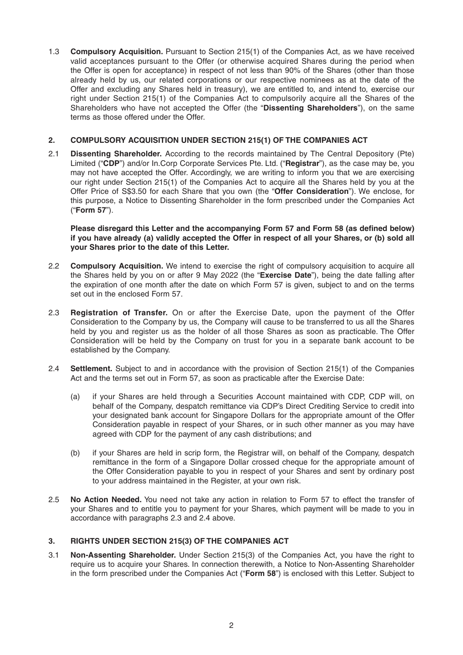1.3 **Compulsory Acquisition.** Pursuant to Section 215(1) of the Companies Act, as we have received valid acceptances pursuant to the Offer (or otherwise acquired Shares during the period when the Offer is open for acceptance) in respect of not less than 90% of the Shares (other than those already held by us, our related corporations or our respective nominees as at the date of the Offer and excluding any Shares held in treasury), we are entitled to, and intend to, exercise our right under Section 215(1) of the Companies Act to compulsorily acquire all the Shares of the Shareholders who have not accepted the Offer (the "**Dissenting Shareholders**"), on the same terms as those offered under the Offer.

## **2. COMPULSORY ACQUISITION UNDER SECTION 215(1) OF THE COMPANIES ACT**

2.1 **Dissenting Shareholder.** According to the records maintained by The Central Depository (Pte) Limited ("**CDP**") and/or In.Corp Corporate Services Pte. Ltd. ("**Registrar**"), as the case may be, you may not have accepted the Offer. Accordingly, we are writing to inform you that we are exercising our right under Section 215(1) of the Companies Act to acquire all the Shares held by you at the Offer Price of S\$3.50 for each Share that you own (the "**Offer Consideration**"). We enclose, for this purpose, a Notice to Dissenting Shareholder in the form prescribed under the Companies Act ( "**Form 57**").

**Please disregard this Letter and the accompanying Form 57 and Form 58 (as defined below) if you have already (a) validly accepted the Offer in respect of all your Shares, or (b) sold all your Shares prior to the date of this Letter.**

- 2.2 **Compulsory Acquisition.** We intend to exercise the right of compulsory acquisition to acquire all the Shares held by you on or after 9 May 2022 (the "**Exercise Date**"), being the date falling after the expiration of one month after the date on which Form 57 is given, subject to and on the terms set out in the enclosed Form 57.
- 2.3 **Registration of Transfer.** On or after the Exercise Date, upon the payment of the Offer Consideration to the Company by us, the Company will cause to be transferred to us all the Shares held by you and register us as the holder of all those Shares as soon as practicable. The Offer Consideration will be held by the Company on trust for you in a separate bank account to be established by the Company.
- 2.4 **Settlement.** Subject to and in accordance with the provision of Section 215(1) of the Companies Act and the terms set out in Form 57, as soon as practicable after the Exercise Date:
	- (a) if your Shares are held through a Securities Account maintained with CDP, CDP will, on behalf of the Company, despatch remittance via CDP's Direct Crediting Service to credit into your designated bank account for Singapore Dollars for the appropriate amount of the Offer Consideration payable in respect of your Shares, or in such other manner as you may have agreed with CDP for the payment of any cash distributions; and
	- (b) if your Shares are held in scrip form, the Registrar will, on behalf of the Company, despatch remittance in the form of a Singapore Dollar crossed cheque for the appropriate amount of the Offer Consideration payable to you in respect of your Shares and sent by ordinary post to your address maintained in the Register, at your own risk.
- 2.5 **No Action Needed.** You need not take any action in relation to Form 57 to effect the transfer of your Shares and to entitle you to payment for your Shares, which payment will be made to you in accordance with paragraphs 2.3 and 2.4 above.

# **3. RIGHTS UNDER SECTION 215(3) OF THE COMPANIES ACT**

3.1 **Non-Assenting Shareholder.** Under Section 215(3) of the Companies Act, you have the right to require us to acquire your Shares. In connection therewith, a Notice to Non-Assenting Shareholder in the form prescribed under the Companies Act ( "**Form 58**") is enclosed with this Letter. Subject to